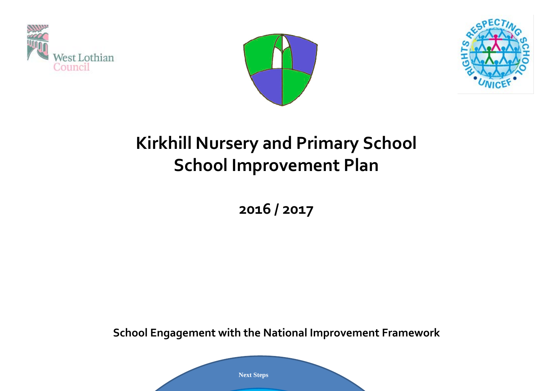





# **Kirkhill Nursery and Primary School School Improvement Plan**

**2016 / 2017**

**School Engagement with the National Improvement Framework**

**Next Steps**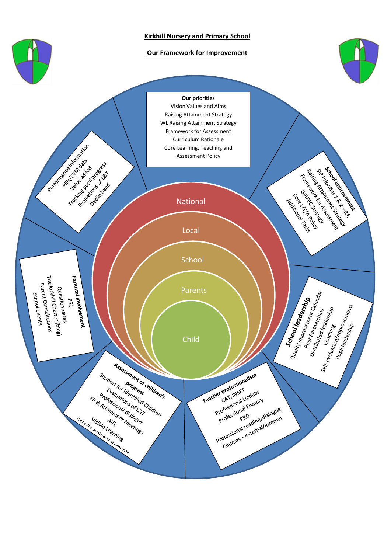

#### **Kirkhill Nursery and Primary School**

#### **Our Framework for Improvement**



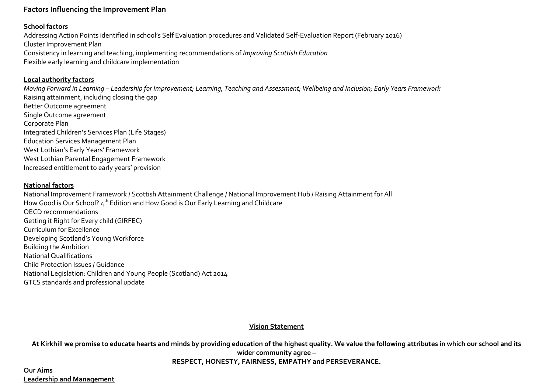# **Factors Influencing the Improvement Plan**

## **School factors**

Addressing Action Points identified in school's Self Evaluation procedures and Validated Self-Evaluation Report (February 2016) Cluster Improvement Plan Consistency in learning and teaching, implementing recommendations of *Improving Scottish Education* Flexible early learning and childcare implementation

## **Local authority factors**

*Moving Forward in Learning – Leadership for Improvement; Learning, Teaching and Assessment; Wellbeing and Inclusion; Early Years Framework* Raising attainment, including closing the gap Better Outcome agreement Single Outcome agreement Corporate Plan Integrated Children's Services Plan (Life Stages) Education Services Management Plan West Lothian's Early Years' Framework West Lothian Parental Engagement Framework Increased entitlement to early years' provision

## **National factors**

National Improvement Framework / Scottish Attainment Challenge / National Improvement Hub / Raising Attainment for All How Good is Our School? 4<sup>th</sup> Edition and How Good is Our Early Learning and Childcare OECD recommendations Getting it Right for Every child (GIRFEC) Curriculum for Excellence Developing Scotland's Young Workforce Building the Ambition National Qualifications Child Protection Issues / Guidance National Legislation: Children and Young People (Scotland) Act 2014 GTCS standards and professional update

### **Vision Statement**

**At Kirkhill we promise to educate hearts and minds by providing education of the highest quality. We value the following attributes in which our school and its wider community agree – RESPECT, HONESTY, FAIRNESS, EMPATHY and PERSEVERANCE.**

### **Our Aims Leadership and Management**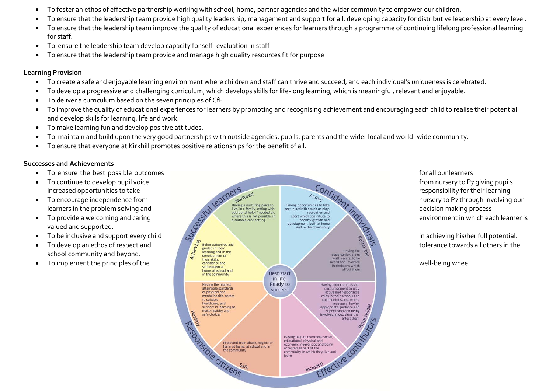- To foster an ethos of effective partnership working with school, home, partner agencies and the wider community to empower our children.
- To ensure that the leadership team provide high quality leadership, management and support for all, developing capacity for distributive leadership at every level.
- To ensure that the leadership team improve the quality of educational experiences for learners through a programme of continuing lifelong professional learning for staff.
- To ensure the leadership team develop capacity for self- evaluation in staff
- To ensure that the leadership team provide and manage high quality resources fit for purpose

# **Learning Provision**

- To create a safe and enjoyable learning environment where children and staff can thrive and succeed, and each individual's uniqueness is celebrated.
- To develop a progressive and challenging curriculum, which develops skills for life-long learning, which is meaningful, relevant and enjoyable.
- To deliver a curriculum based on the seven principles of CfE.
- To improve the quality of educational experiences for learners by promoting and recognising achievement and encouraging each child to realise their potential and develop skills for learning, life and work.
- To make learning fun and develop positive attitudes.
- To maintain and build upon the very good partnerships with outside agencies, pupils, parents and the wider local and world- wide community.
- To ensure that everyone at Kirkhill promotes positive relationships for the benefit of all.

## **Successes and Achievements**

- 
- 
- 
- valued and supported.
- 
- school community and beyond.
- 

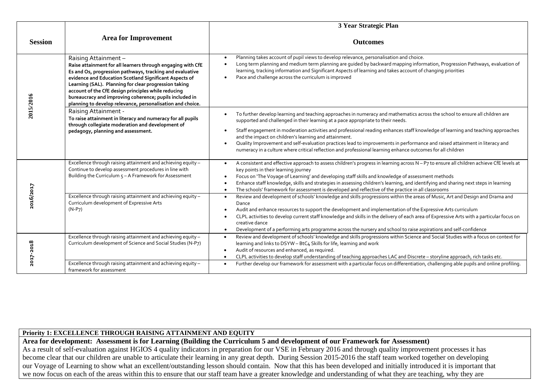|                |                                                                                                                                                                                                                                                                                                                                                                                                                                                    | 3 Year Strategic Plan                                                                                                                                                                                                                                                                                                                                                                                                                                                                                                                                                                                                                                                                             |  |  |  |  |
|----------------|----------------------------------------------------------------------------------------------------------------------------------------------------------------------------------------------------------------------------------------------------------------------------------------------------------------------------------------------------------------------------------------------------------------------------------------------------|---------------------------------------------------------------------------------------------------------------------------------------------------------------------------------------------------------------------------------------------------------------------------------------------------------------------------------------------------------------------------------------------------------------------------------------------------------------------------------------------------------------------------------------------------------------------------------------------------------------------------------------------------------------------------------------------------|--|--|--|--|
| <b>Session</b> | <b>Area for Improvement</b>                                                                                                                                                                                                                                                                                                                                                                                                                        | <b>Outcomes</b>                                                                                                                                                                                                                                                                                                                                                                                                                                                                                                                                                                                                                                                                                   |  |  |  |  |
| 2015/2016      | Raising Attainment -<br>Raise attainment for all learners through engaging with CfE<br>Es and Os, progression pathways, tracking and evaluative<br>evidence and Education Scotland Significant Aspects of<br>Learning (SAL). Planning for clear progression taking<br>account of the CfE design principles while reducing<br>bureaucracy and improving coherence; pupils included in<br>planning to develop relevance, personalisation and choice. | Planning takes account of pupil views to develop relevance, personalisation and choice.<br>$\bullet$<br>Long term planning and medium term planning are guided by backward mapping information, Progression Pathways, evaluation of<br>$\bullet$<br>learning, tracking information and Significant Aspects of learning and takes account of changing priorities<br>Pace and challenge across the curriculum is improved<br>$\bullet$                                                                                                                                                                                                                                                              |  |  |  |  |
|                | Raising Attainment -<br>To raise attainment in literacy and numeracy for all pupils<br>through collegiate moderation and development of<br>pedagogy, planning and assessment.                                                                                                                                                                                                                                                                      | To further develop learning and teaching approaches in numeracy and mathematics across the school to ensure all children are<br>$\bullet$<br>supported and challenged in their learning at a pace appropriate to their needs.<br>Staff engagement in moderation activities and professional reading enhances staff knowledge of learning and teaching approaches<br>$\bullet$<br>and the impact on children's learning and attainment.<br>Quality Improvement and self-evaluation practices lead to improvements in performance and raised attainment in literacy and<br>$\bullet$<br>numeracy in a culture where critical reflection and professional learning enhance outcomes for all children |  |  |  |  |
|                | Excellence through raising attainment and achieving equity -<br>Continue to develop assessment procedures in line with<br>Building the Curriculum 5 - A Framework for Assessment                                                                                                                                                                                                                                                                   | A consistent and effective approach to assess children's progress in learning across N - P7 to ensure all children achieve CfE levels at<br>$\bullet$<br>key points in their learning journey<br>Focus on 'The Voyage of Learning' and developing staff skills and knowledge of assessment methods<br>$\bullet$<br>Enhance staff knowledge, skills and strategies in assessing children's learning, and identifying and sharing next steps in learning<br>$\bullet$<br>The schools' framework for assessment is developed and reflective of the practice in all classrooms<br>$\bullet$                                                                                                           |  |  |  |  |
| 2016/2017      | Excellence through raising attainment and achieving equity -<br>Curriculum development of Expressive Arts<br>$(N-P7)$                                                                                                                                                                                                                                                                                                                              | Review and development of schools' knowledge and skills progressions within the areas of Music, Art and Design and Drama and<br>$\bullet$<br>Dance<br>Audit and enhance resources to support the development and implementation of the Expressive Arts curriculum<br>$\bullet$<br>CLPL activities to develop current staff knowledge and skills in the delivery of each area of Expressive Arts with a particular focus on<br>$\bullet$<br>creative dance<br>Development of a performing arts programme across the nursery and school to raise aspirations and self-confidence<br>$\bullet$                                                                                                       |  |  |  |  |
| 2018           | Excellence through raising attainment and achieving equity -<br>Curriculum development of Science and Social Studies (N-P7)                                                                                                                                                                                                                                                                                                                        | Review and development of schools' knowledge and skills progressions within Science and Social Studies with a focus on context for<br>$\bullet$<br>learning and links to DSYW - BtC4 Skills for life, learning and work<br>Audit of resources and enhanced, as required.<br>$\bullet$<br>CLPL activities to develop staff understanding of teaching approaches LAC and Discrete - storyline approach, rich tasks etc.<br>$\bullet$                                                                                                                                                                                                                                                                |  |  |  |  |
|                | Excellence through raising attainment and achieving equity -<br>framework for assessment                                                                                                                                                                                                                                                                                                                                                           | Further develop our framework for assessment with a particular focus on differentiation, challenging able pupils and online profiling.<br>$\bullet$                                                                                                                                                                                                                                                                                                                                                                                                                                                                                                                                               |  |  |  |  |

#### **Priority 1: EXCELLENCE THROUGH RAISING ATTAINMENT AND EQUITY**

**Area for development: Assessment is for Learning (Building the Curriculum 5 and development of our Framework for Assessment)** As a result of self-evaluation against HGIOS 4 quality indicators in preparation for our VSE in February 2016 and through quality improvement processes it has become clear that our children are unable to articulate their learning in any great depth. During Session 2015-2016 the staff team worked together on developing our Voyage of Learning to show what an excellent/outstanding lesson should contain. Now that this has been developed and initially introduced it is important that we now focus on each of the areas within this to ensure that our staff team have a greater knowledge and understanding of what they are teaching, why they are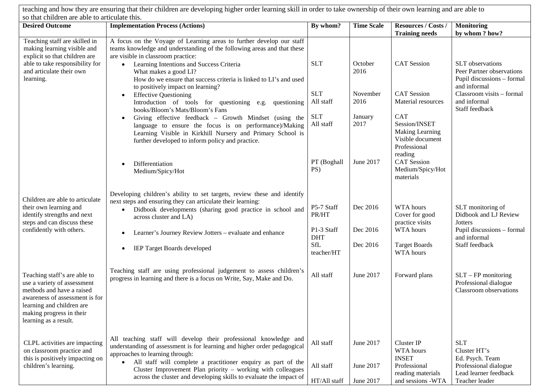| teaching and how they are ensuring that their children are developing higher order learning skill in order to take ownership of their own learning and are able to                                           |                                                                                                                                                                                                                                                                         |                           |                        |                                                                                                      |                                                                          |  |  |
|--------------------------------------------------------------------------------------------------------------------------------------------------------------------------------------------------------------|-------------------------------------------------------------------------------------------------------------------------------------------------------------------------------------------------------------------------------------------------------------------------|---------------------------|------------------------|------------------------------------------------------------------------------------------------------|--------------------------------------------------------------------------|--|--|
| so that children are able to articulate this.<br><b>Implementation Process (Actions)</b><br><b>Desired Outcome</b>                                                                                           |                                                                                                                                                                                                                                                                         |                           | <b>Time Scale</b>      | <b>Resources / Costs /</b>                                                                           | <b>Monitoring</b>                                                        |  |  |
|                                                                                                                                                                                                              |                                                                                                                                                                                                                                                                         | By whom?                  |                        | <b>Training needs</b>                                                                                | by whom ? how?                                                           |  |  |
| Teaching staff are skilled in<br>making learning visible and<br>explicit so that children are<br>able to take responsibility for<br>and articulate their own                                                 | A focus on the Voyage of Learning areas to further develop our staff<br>teams knowledge and understanding of the following areas and that these<br>are visible in classroom practice:<br>Learning Intentions and Success Criteria<br>$\bullet$<br>What makes a good LI? | <b>SLT</b>                | October<br>2016        | <b>CAT</b> Session                                                                                   | <b>SLT</b> observations<br>Peer Partner observations                     |  |  |
| learning.                                                                                                                                                                                                    | How do we ensure that success criteria is linked to LI's and used<br>to positively impact on learning?<br><b>Effective Questioning</b><br>$\bullet$                                                                                                                     | <b>SLT</b>                | November               | <b>CAT</b> Session                                                                                   | Pupil discussions - formal<br>and informal<br>Classroom visits - formal  |  |  |
|                                                                                                                                                                                                              | Introduction of tools for questioning e.g. questioning<br>books/Bloom's Mats/Bloom's Fans                                                                                                                                                                               | All staff                 | 2016                   | Material resources                                                                                   | and informal<br>Staff feedback                                           |  |  |
|                                                                                                                                                                                                              | Giving effective feedback - Growth Mindset (using the<br>$\bullet$<br>language to ensure the focus is on performance)/Making<br>Learning Visible in Kirkhill Nursery and Primary School is<br>further developed to inform policy and practice.                          | <b>SLT</b><br>All staff   | January<br>2017        | <b>CAT</b><br>Session/INSET<br><b>Making Learning</b><br>Visible document<br>Professional<br>reading |                                                                          |  |  |
|                                                                                                                                                                                                              | Differentiation<br>Medium/Spicy/Hot                                                                                                                                                                                                                                     | PT (Boghall<br>PS)        | June 2017              | <b>CAT</b> Session<br>Medium/Spicy/Hot<br>materials                                                  |                                                                          |  |  |
| Children are able to articulate                                                                                                                                                                              | Developing children's ability to set targets, review these and identify<br>next steps and ensuring they can articulate their learning:                                                                                                                                  |                           |                        |                                                                                                      |                                                                          |  |  |
| their own learning and<br>identify strengths and next<br>steps and can discuss these                                                                                                                         | Didbook developments (sharing good practice in school and<br>$\bullet$<br>across cluster and LA)                                                                                                                                                                        | P5-7 Staff<br>PR/HT       | Dec 2016               | WTA hours<br>Cover for good<br>practice visits                                                       | SLT monitoring of<br>Didbook and LJ Review<br><b>Jotters</b>             |  |  |
| confidently with others.                                                                                                                                                                                     | Learner's Journey Review Jotters - evaluate and enhance                                                                                                                                                                                                                 | P1-3 Staff<br><b>DHT</b>  | Dec 2016               | WTA hours                                                                                            | Pupil discussions - formal<br>and informal                               |  |  |
|                                                                                                                                                                                                              | IEP Target Boards developed                                                                                                                                                                                                                                             | SfL<br>teacher/HT         | Dec 2016               | <b>Target Boards</b><br>WTA hours                                                                    | Staff feedback                                                           |  |  |
| Teaching staff's are able to<br>use a variety of assessment<br>methods and have a raised<br>awareness of assessment is for<br>learning and children are<br>making progress in their<br>learning as a result. | Teaching staff are using professional judgement to assess children's<br>progress in learning and there is a focus on Write, Say, Make and Do.                                                                                                                           | All staff                 | June 2017              | Forward plans                                                                                        | $SLT - FP$ monitoring<br>Professional dialogue<br>Classroom observations |  |  |
|                                                                                                                                                                                                              |                                                                                                                                                                                                                                                                         |                           |                        |                                                                                                      |                                                                          |  |  |
| CLPL activities are impacting<br>on classroom practice and<br>this is positively impacting on                                                                                                                | All teaching staff will develop their professional knowledge and<br>understanding of assessment is for learning and higher order pedagogical<br>approaches to learning through:                                                                                         | All staff                 | June 2017              | Cluster IP<br>WTA hours<br><b>INSET</b>                                                              | <b>SLT</b><br>Cluster HT's<br>Ed. Psych. Team                            |  |  |
| children's learning.                                                                                                                                                                                         | All staff will complete a practitioner enquiry as part of the<br>Cluster Improvement Plan priority – working with colleagues<br>across the cluster and developing skills to evaluate the impact of                                                                      | All staff<br>HT/All staff | June 2017<br>June 2017 | Professional<br>reading materials<br>and sessions -WTA                                               | Professional dialogue<br>Lead learner feedback<br>Teacher leader         |  |  |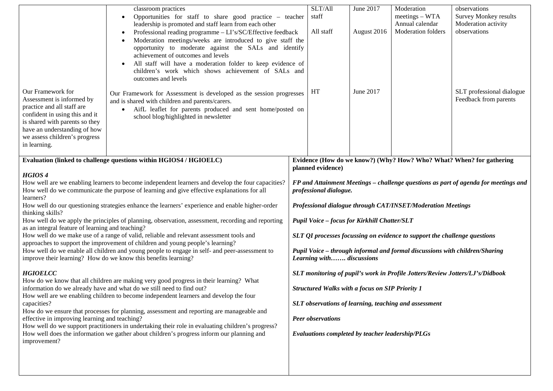| Our Framework for<br>Assessment is informed by<br>practice and all staff are<br>confident in using this and it<br>is shared with parents so they<br>have an understanding of how<br>we assess children's progress<br>in learning.                                                                                                                                                                                                                                                                                                                                                                                                                                                                                                                                                                                                                                                                                                                                                                                                                                                                                                                                                                                                                                                                                                                                                                                                                                                                                                                                                                      | classroom practices<br>Opportunities for staff to share good practice - teacher<br>$\bullet$<br>leadership is promoted and staff learn from each other<br>Professional reading programme - LI's/SC/Effective feedback<br>Moderation meetings/weeks are introduced to give staff the<br>opportunity to moderate against the SALs and identify<br>achievement of outcomes and levels<br>All staff will have a moderation folder to keep evidence of<br>children's work which shows achievement of SALs and<br>outcomes and levels<br>Our Framework for Assessment is developed as the session progresses<br>and is shared with children and parents/carers.<br>AifL leaflet for parents produced and sent home/posted on<br>school blog/highlighted in newsletter |                                                                                                                                                                                                                                                                                                                                                                                                                                                                                                                                                                                                                                                                                                                                                                                                        | SLT/All<br>staff<br>All staff<br>HT | June 2017<br>August 2016<br>June 2017 | Moderation<br>$meetings-WTA$<br>Annual calendar<br>Moderation folders | observations<br><b>Survey Monkey results</b><br>Moderation activity<br>observations<br>SLT professional dialogue<br>Feedback from parents |
|--------------------------------------------------------------------------------------------------------------------------------------------------------------------------------------------------------------------------------------------------------------------------------------------------------------------------------------------------------------------------------------------------------------------------------------------------------------------------------------------------------------------------------------------------------------------------------------------------------------------------------------------------------------------------------------------------------------------------------------------------------------------------------------------------------------------------------------------------------------------------------------------------------------------------------------------------------------------------------------------------------------------------------------------------------------------------------------------------------------------------------------------------------------------------------------------------------------------------------------------------------------------------------------------------------------------------------------------------------------------------------------------------------------------------------------------------------------------------------------------------------------------------------------------------------------------------------------------------------|-----------------------------------------------------------------------------------------------------------------------------------------------------------------------------------------------------------------------------------------------------------------------------------------------------------------------------------------------------------------------------------------------------------------------------------------------------------------------------------------------------------------------------------------------------------------------------------------------------------------------------------------------------------------------------------------------------------------------------------------------------------------|--------------------------------------------------------------------------------------------------------------------------------------------------------------------------------------------------------------------------------------------------------------------------------------------------------------------------------------------------------------------------------------------------------------------------------------------------------------------------------------------------------------------------------------------------------------------------------------------------------------------------------------------------------------------------------------------------------------------------------------------------------------------------------------------------------|-------------------------------------|---------------------------------------|-----------------------------------------------------------------------|-------------------------------------------------------------------------------------------------------------------------------------------|
| Evaluation (linked to challenge questions within HGIOS4 / HGIOELC)<br>HGIOS <sub>4</sub><br>How well are we enabling learners to become independent learners and develop the four capacities?<br>How well do we communicate the purpose of learning and give effective explanations for all<br>learners?<br>How well do our questioning strategies enhance the learners' experience and enable higher-order<br>thinking skills?<br>How well do we apply the principles of planning, observation, assessment, recording and reporting<br>as an integral feature of learning and teaching?<br>How well do we make use of a range of valid, reliable and relevant assessment tools and<br>approaches to support the improvement of children and young people's learning?<br>How well do we enable all children and young people to engage in self- and peer-assessment to<br>improve their learning? How do we know this benefits learning?<br><b>HGIOELCC</b><br>How do we know that all children are making very good progress in their learning? What<br>information do we already have and what do we still need to find out?<br>How well are we enabling children to become independent learners and develop the four<br>capacities?<br>How do we ensure that processes for planning, assessment and reporting are manageable and<br>effective in improving learning and teaching?<br>How well do we support practitioners in undertaking their role in evaluating children's progress?<br>How well does the information we gather about children's progress inform our planning and<br>improvement? |                                                                                                                                                                                                                                                                                                                                                                                                                                                                                                                                                                                                                                                                                                                                                                 | Evidence (How do we know?) (Why? How? Who? What? When? for gathering<br>planned evidence)<br>FP and Attainment Meetings – challenge questions as part of agenda for meetings and<br>professional dialogue.<br>Professional dialogue through CAT/INSET/Moderation Meetings<br>Pupil Voice - focus for Kirkhill Chatter/SLT<br>SLT QI processes focussing on evidence to support the challenge questions<br>Pupil Voice - through informal and formal discussions with children/Sharing<br>Learning with discussions<br>SLT monitoring of pupil's work in Profile Jotters/Review Jotters/LJ's/Didbook<br><b>Structured Walks with a focus on SIP Priority 1</b><br>SLT observations of learning, teaching and assessment<br><b>Peer observations</b><br>Evaluations completed by teacher leadership/PLGs |                                     |                                       |                                                                       |                                                                                                                                           |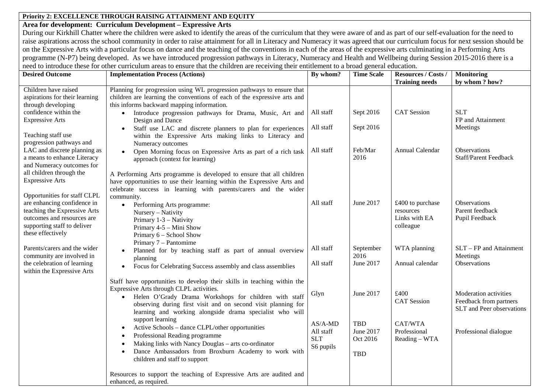### **Priority 2: EXCELLENCE THROUGH RAISING ATTAINMENT AND EQUITY**

#### **Area for development: Curriculum Development – Expressive Arts**

During our Kirkhill Chatter where the children were asked to identify the areas of the curriculum that they were aware of and as part of our self-evaluation for the need to raise aspirations across the school community in order to raise attainment for all in Literacy and Numeracy it was agreed that our curriculum focus for next session should be on the Expressive Arts with a particular focus on dance and the teaching of the conventions in each of the areas of the expressive arts culminating in a Performing Arts programme (N-P7) being developed. As we have introduced progression pathways in Literacy, Numeracy and Health and Wellbeing during Session 2015-2016 there is a need to introduce these for other curriculum areas to ensure that the children are receiving their entitlement to a broad general education.

| <b>Desired Outcome</b>                                                                                                                        | <b>Implementation Process (Actions)</b>                                                                                                                                                                                                                                                                                | By whom?                                          | <b>Time Scale</b>                          | Resources / Costs /<br><b>Training needs</b>                | <b>Monitoring</b><br>by whom? how?                                           |
|-----------------------------------------------------------------------------------------------------------------------------------------------|------------------------------------------------------------------------------------------------------------------------------------------------------------------------------------------------------------------------------------------------------------------------------------------------------------------------|---------------------------------------------------|--------------------------------------------|-------------------------------------------------------------|------------------------------------------------------------------------------|
| Children have raised<br>aspirations for their learning<br>through developing                                                                  | Planning for progression using WL progression pathways to ensure that<br>children are learning the conventions of each of the expressive arts and<br>this informs backward mapping information.                                                                                                                        |                                                   |                                            |                                                             |                                                                              |
| confidence within the<br><b>Expressive Arts</b>                                                                                               | Introduce progression pathways for Drama, Music, Art and<br>$\bullet$<br>Design and Dance                                                                                                                                                                                                                              | All staff                                         | Sept 2016                                  | <b>CAT</b> Session                                          | <b>SLT</b><br>FP and Attainment                                              |
| Teaching staff use<br>progression pathways and                                                                                                | Staff use LAC and discrete planners to plan for experiences<br>$\bullet$<br>within the Expressive Arts making links to Literacy and<br>Numeracy outcomes                                                                                                                                                               | All staff                                         | Sept 2016                                  |                                                             | Meetings                                                                     |
| LAC and discrete planning as<br>a means to enhance Literacy<br>and Numeracy outcomes for                                                      | Open Morning focus on Expressive Arts as part of a rich task<br>$\bullet$<br>approach (context for learning)                                                                                                                                                                                                           | All staff                                         | Feb/Mar<br>2016                            | Annual Calendar                                             | Observations<br>Staff/Parent Feedback                                        |
| all children through the<br><b>Expressive Arts</b><br>Opportunities for staff CLPL                                                            | A Performing Arts programme is developed to ensure that all children<br>have opportunities to use their learning within the Expressive Arts and<br>celebrate success in learning with parents/carers and the wider<br>community.                                                                                       |                                                   |                                            |                                                             |                                                                              |
| are enhancing confidence in<br>teaching the Expressive Arts<br>outcomes and resources are<br>supporting staff to deliver<br>these effectively | Performing Arts programme:<br>$\bullet$<br>Nursery - Nativity<br>Primary 1-3 - Nativity<br>Primary 4-5 – Mini Show<br>Primary 6 - School Show<br>Primary 7 – Pantomime                                                                                                                                                 | All staff                                         | June 2017                                  | £400 to purchase<br>resources<br>Links with EA<br>colleague | Observations<br>Parent feedback<br>Pupil Feedback                            |
| Parents/carers and the wider<br>community are involved in                                                                                     | Planned for by teaching staff as part of annual overview<br>planning                                                                                                                                                                                                                                                   | All staff                                         | September<br>2016                          | WTA planning                                                | $SLT - FP$ and Attainment<br>Meetings                                        |
| the celebration of learning<br>within the Expressive Arts                                                                                     | Focus for Celebrating Success assembly and class assemblies<br>$\bullet$                                                                                                                                                                                                                                               | All staff                                         | June 2017                                  | Annual calendar                                             | Observations                                                                 |
|                                                                                                                                               | Staff have opportunities to develop their skills in teaching within the<br>Expressive Arts through CLPL activities.<br>Helen O'Grady Drama Workshops for children with staff<br>$\bullet$<br>observing during first visit and on second visit planning for<br>learning and working alongside drama specialist who will | Glyn                                              | June 2017                                  | £400<br><b>CAT</b> Session                                  | Moderation activities<br>Feedback from partners<br>SLT and Peer observations |
|                                                                                                                                               | support learning<br>Active Schools - dance CLPL/other opportunities<br>$\bullet$<br>Professional Reading programme<br>Making links with Nancy Douglas - arts co-ordinator<br>Dance Ambassadors from Broxburn Academy to work with<br>$\bullet$<br>children and staff to support                                        | $AS/A-MD$<br>All staff<br><b>SLT</b><br>S6 pupils | TBD<br>June 2017<br>Oct 2016<br><b>TBD</b> | CAT/WTA<br>Professional<br>Reading - WTA                    | Professional dialogue                                                        |
|                                                                                                                                               | Resources to support the teaching of Expressive Arts are audited and<br>enhanced, as required.                                                                                                                                                                                                                         |                                                   |                                            |                                                             |                                                                              |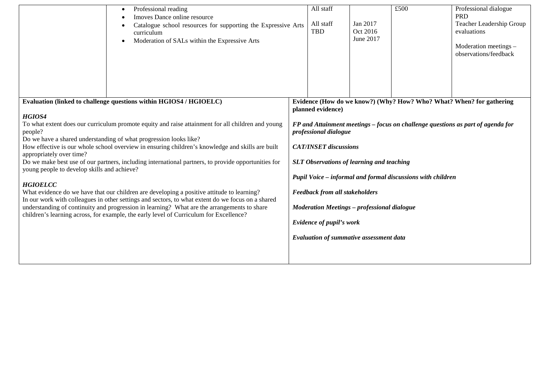| Professional reading<br>$\bullet$<br>Imoves Dance online resource<br>Catalogue school resources for supporting the Expressive Arts<br>curriculum<br>Moderation of SALs within the Expressive Arts<br>$\bullet$                                                                                                                                                                                                                                                                                                                                                                                                                                                                                                                                                                                                                                                                                                                                                         |  | All staff<br>All staff<br><b>TBD</b>                                                                                                                                                                                                                                                                                                                                                                                                                                                                                                  | Jan 2017<br>Oct 2016<br>June 2017 | £500 | Professional dialogue<br><b>PRD</b><br>Teacher Leadership Group<br>evaluations<br>Moderation meetings -<br>observations/feedback |  |
|------------------------------------------------------------------------------------------------------------------------------------------------------------------------------------------------------------------------------------------------------------------------------------------------------------------------------------------------------------------------------------------------------------------------------------------------------------------------------------------------------------------------------------------------------------------------------------------------------------------------------------------------------------------------------------------------------------------------------------------------------------------------------------------------------------------------------------------------------------------------------------------------------------------------------------------------------------------------|--|---------------------------------------------------------------------------------------------------------------------------------------------------------------------------------------------------------------------------------------------------------------------------------------------------------------------------------------------------------------------------------------------------------------------------------------------------------------------------------------------------------------------------------------|-----------------------------------|------|----------------------------------------------------------------------------------------------------------------------------------|--|
| Evaluation (linked to challenge questions within HGIOS4 / HGIOELC)<br>HGIOS4<br>To what extent does our curriculum promote equity and raise attainment for all children and young<br>people?<br>Do we have a shared understanding of what progression looks like?<br>How effective is our whole school overview in ensuring children's knowledge and skills are built<br>appropriately over time?<br>Do we make best use of our partners, including international partners, to provide opportunities for<br>young people to develop skills and achieve?<br><b>HGIOELCC</b><br>What evidence do we have that our children are developing a positive attitude to learning?<br>In our work with colleagues in other settings and sectors, to what extent do we focus on a shared<br>understanding of continuity and progression in learning? What are the arrangements to share<br>children's learning across, for example, the early level of Curriculum for Excellence? |  | Evidence (How do we know?) (Why? How? Who? What? When? for gathering<br>planned evidence)<br>FP and Attainment meetings – focus on challenge questions as part of agenda for<br>professional dialogue<br><b>CAT/INSET</b> discussions<br><b>SLT Observations of learning and teaching</b><br>Pupil Voice - informal and formal discussions with children<br><b>Feedback from all stakeholders</b><br><b>Moderation Meetings - professional dialogue</b><br>Evidence of pupil's work<br><b>Evaluation of summative assessment data</b> |                                   |      |                                                                                                                                  |  |